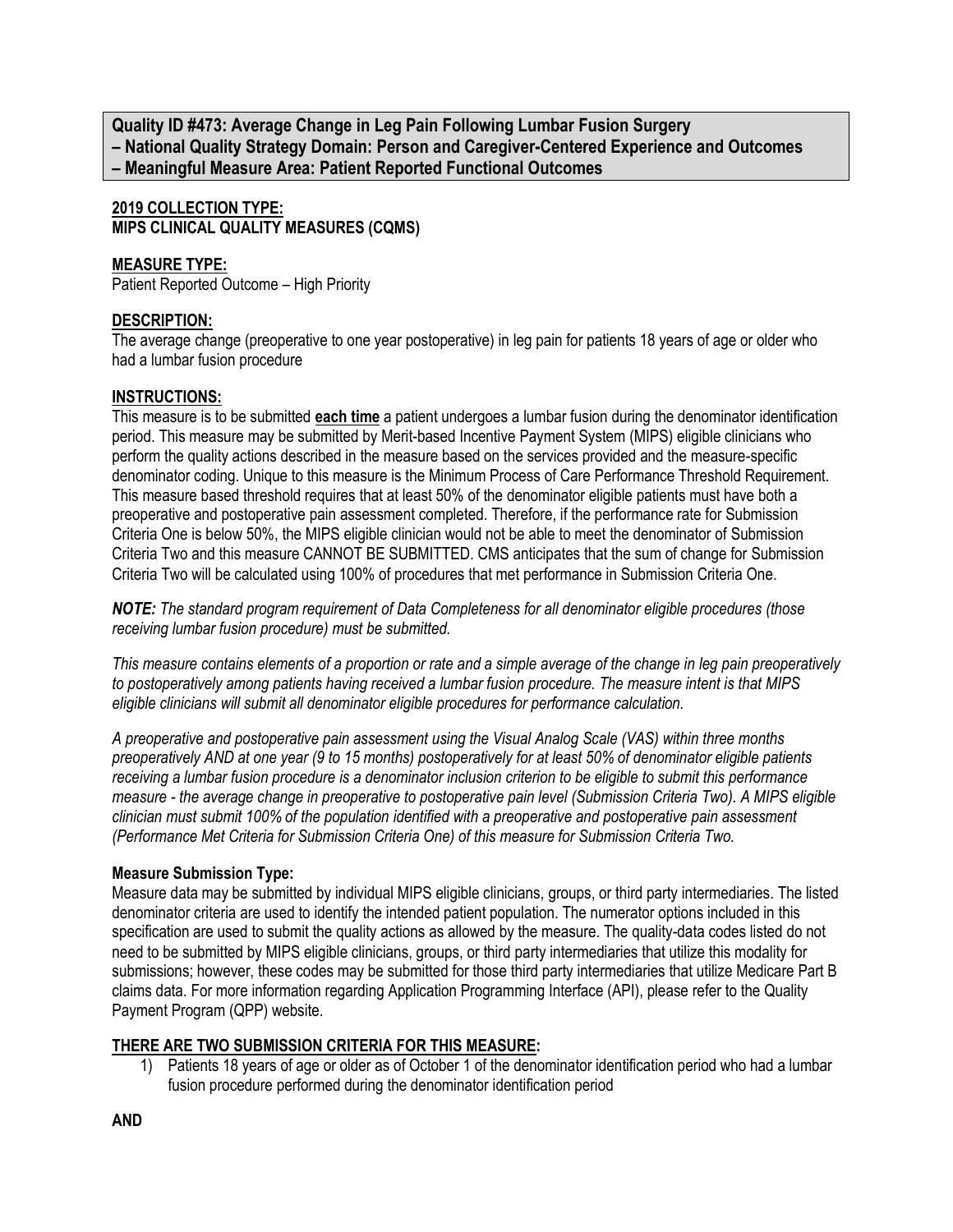**Quality ID #473: Average Change in Leg Pain Following Lumbar Fusion Surgery – National Quality Strategy Domain: Person and Caregiver-Centered Experience and Outcomes – Meaningful Measure Area: Patient Reported Functional Outcomes**

**2019 COLLECTION TYPE: MIPS CLINICAL QUALITY MEASURES (CQMS)**

#### **MEASURE TYPE:**

Patient Reported Outcome – High Priority

#### **DESCRIPTION:**

The average change (preoperative to one year postoperative) in leg pain for patients 18 years of age or older who had a lumbar fusion procedure

#### **INSTRUCTIONS:**

This measure is to be submitted **each time** a patient undergoes a lumbar fusion during the denominator identification period. This measure may be submitted by Merit-based Incentive Payment System (MIPS) eligible clinicians who perform the quality actions described in the measure based on the services provided and the measure-specific denominator coding. Unique to this measure is the Minimum Process of Care Performance Threshold Requirement. This measure based threshold requires that at least 50% of the denominator eligible patients must have both a preoperative and postoperative pain assessment completed. Therefore, if the performance rate for Submission Criteria One is below 50%, the MIPS eligible clinician would not be able to meet the denominator of Submission Criteria Two and this measure CANNOT BE SUBMITTED. CMS anticipates that the sum of change for Submission Criteria Two will be calculated using 100% of procedures that met performance in Submission Criteria One.

*NOTE: The standard program requirement of Data Completeness for all denominator eligible procedures (those receiving lumbar fusion procedure) must be submitted.*

*This measure contains elements of a proportion or rate and a simple average of the change in leg pain preoperatively to postoperatively among patients having received a lumbar fusion procedure. The measure intent is that MIPS eligible clinicians will submit all denominator eligible procedures for performance calculation.*

*A preoperative and postoperative pain assessment using the Visual Analog Scale (VAS) within three months preoperatively AND at one year (9 to 15 months) postoperatively for at least 50% of denominator eligible patients receiving a lumbar fusion procedure is a denominator inclusion criterion to be eligible to submit this performance measure - the average change in preoperative to postoperative pain level (Submission Criteria Two). A MIPS eligible clinician must submit 100% of the population identified with a preoperative and postoperative pain assessment (Performance Met Criteria for Submission Criteria One) of this measure for Submission Criteria Two.*

#### **Measure Submission Type:**

Measure data may be submitted by individual MIPS eligible clinicians, groups, or third party intermediaries. The listed denominator criteria are used to identify the intended patient population. The numerator options included in this specification are used to submit the quality actions as allowed by the measure. The quality-data codes listed do not need to be submitted by MIPS eligible clinicians, groups, or third party intermediaries that utilize this modality for submissions; however, these codes may be submitted for those third party intermediaries that utilize Medicare Part B claims data. For more information regarding Application Programming Interface (API), please refer to the Quality Payment Program (QPP) website.

## **THERE ARE TWO SUBMISSION CRITERIA FOR THIS MEASURE:**

1) Patients 18 years of age or older as of October 1 of the denominator identification period who had a lumbar fusion procedure performed during the denominator identification period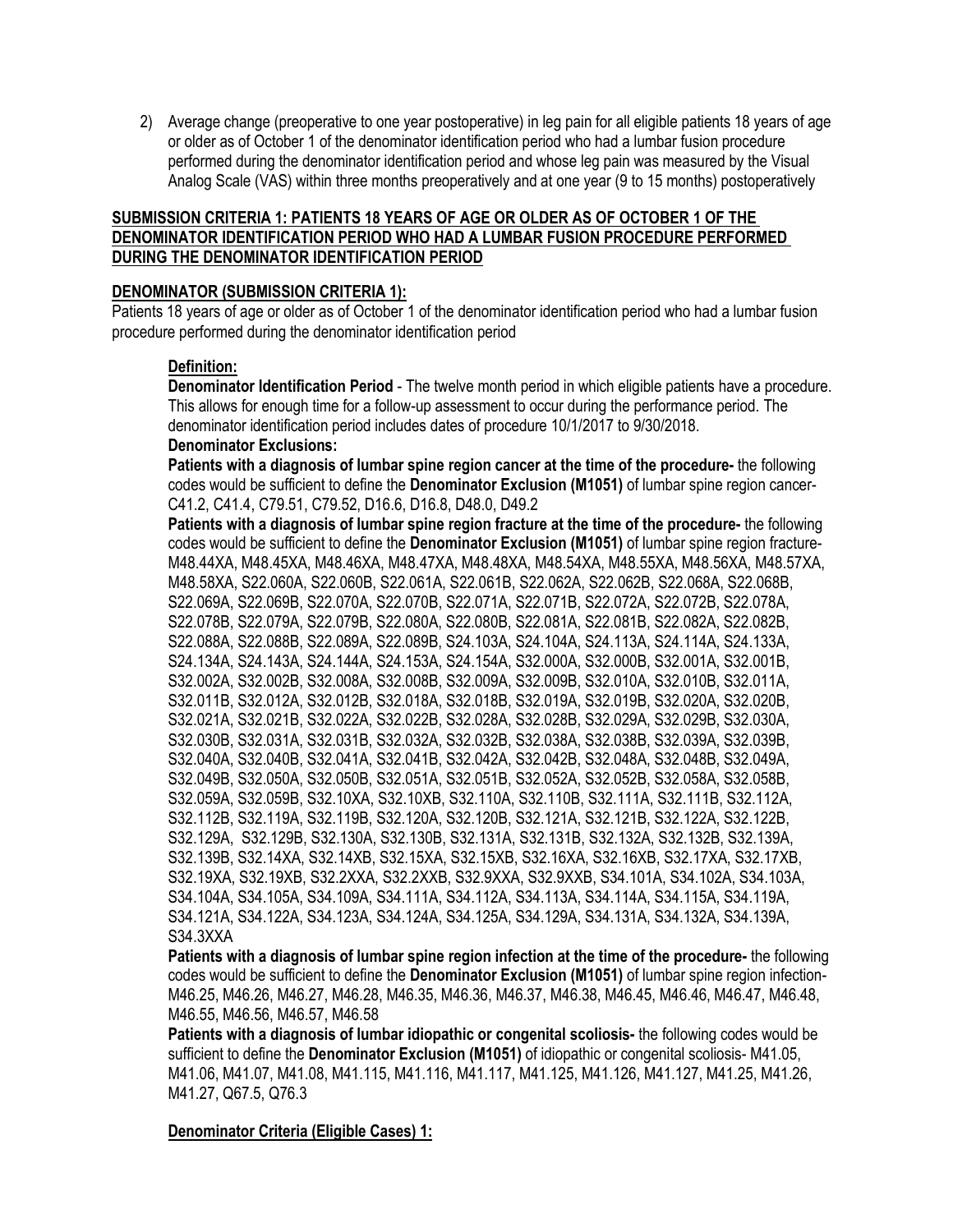2) Average change (preoperative to one year postoperative) in leg pain for all eligible patients 18 years of age or older as of October 1 of the denominator identification period who had a lumbar fusion procedure performed during the denominator identification period and whose leg pain was measured by the Visual Analog Scale (VAS) within three months preoperatively and at one year (9 to 15 months) postoperatively

## **SUBMISSION CRITERIA 1: PATIENTS 18 YEARS OF AGE OR OLDER AS OF OCTOBER 1 OF THE DENOMINATOR IDENTIFICATION PERIOD WHO HAD A LUMBAR FUSION PROCEDURE PERFORMED DURING THE DENOMINATOR IDENTIFICATION PERIOD**

#### **DENOMINATOR (SUBMISSION CRITERIA 1):**

Patients 18 years of age or older as of October 1 of the denominator identification period who had a lumbar fusion procedure performed during the denominator identification period

#### **Definition:**

**Denominator Identification Period** - The twelve month period in which eligible patients have a procedure. This allows for enough time for a follow-up assessment to occur during the performance period. The denominator identification period includes dates of procedure 10/1/2017 to 9/30/2018.

# **Denominator Exclusions:**

**Patients with a diagnosis of lumbar spine region cancer at the time of the procedure-** the following codes would be sufficient to define the **Denominator Exclusion (M1051)** of lumbar spine region cancer-C41.2, C41.4, C79.51, C79.52, D16.6, D16.8, D48.0, D49.2

**Patients with a diagnosis of lumbar spine region fracture at the time of the procedure-** the following codes would be sufficient to define the **Denominator Exclusion (M1051)** of lumbar spine region fracture-M48.44XA, M48.45XA, M48.46XA, M48.47XA, M48.48XA, M48.54XA, M48.55XA, M48.56XA, M48.57XA, M48.58XA, S22.060A, S22.060B, S22.061A, S22.061B, S22.062A, S22.062B, S22.068A, S22.068B, S22.069A, S22.069B, S22.070A, S22.070B, S22.071A, S22.071B, S22.072A, S22.072B, S22.078A, S22.078B, S22.079A, S22.079B, S22.080A, S22.080B, S22.081A, S22.081B, S22.082A, S22.082B, S22.088A, S22.088B, S22.089A, S22.089B, S24.103A, S24.104A, S24.113A, S24.114A, S24.133A, S24.134A, S24.143A, S24.144A, S24.153A, S24.154A, S32.000A, S32.000B, S32.001A, S32.001B, S32.002A, S32.002B, S32.008A, S32.008B, S32.009A, S32.009B, S32.010A, S32.010B, S32.011A, S32.011B, S32.012A, S32.012B, S32.018A, S32.018B, S32.019A, S32.019B, S32.020A, S32.020B, S32.021A, S32.021B, S32.022A, S32.022B, S32.028A, S32.028B, S32.029A, S32.029B, S32.030A, S32.030B, S32.031A, S32.031B, S32.032A, S32.032B, S32.038A, S32.038B, S32.039A, S32.039B, S32.040A, S32.040B, S32.041A, S32.041B, S32.042A, S32.042B, S32.048A, S32.048B, S32.049A, S32.049B, S32.050A, S32.050B, S32.051A, S32.051B, S32.052A, S32.052B, S32.058A, S32.058B, S32.059A, S32.059B, S32.10XA, S32.10XB, S32.110A, S32.110B, S32.111A, S32.111B, S32.112A, S32.112B, S32.119A, S32.119B, S32.120A, S32.120B, S32.121A, S32.121B, S32.122A, S32.122B, S32.129A, S32.129B, S32.130A, S32.130B, S32.131A, S32.131B, S32.132A, S32.132B, S32.139A, S32.139B, S32.14XA, S32.14XB, S32.15XA, S32.15XB, S32.16XA, S32.16XB, S32.17XA, S32.17XB, S32.19XA, S32.19XB, S32.2XXA, S32.2XXB, S32.9XXA, S32.9XXB, S34.101A, S34.102A, S34.103A, S34.104A, S34.105A, S34.109A, S34.111A, S34.112A, S34.113A, S34.114A, S34.115A, S34.119A, S34.121A, S34.122A, S34.123A, S34.124A, S34.125A, S34.129A, S34.131A, S34.132A, S34.139A, S34.3XXA

**Patients with a diagnosis of lumbar spine region infection at the time of the procedure-** the following codes would be sufficient to define the **Denominator Exclusion (M1051)** of lumbar spine region infection-M46.25, M46.26, M46.27, M46.28, M46.35, M46.36, M46.37, M46.38, M46.45, M46.46, M46.47, M46.48, M46.55, M46.56, M46.57, M46.58

**Patients with a diagnosis of lumbar idiopathic or congenital scoliosis-** the following codes would be sufficient to define the **Denominator Exclusion (M1051)** of idiopathic or congenital scoliosis- M41.05, M41.06, M41.07, M41.08, M41.115, M41.116, M41.117, M41.125, M41.126, M41.127, M41.25, M41.26, M41.27, Q67.5, Q76.3

**Denominator Criteria (Eligible Cases) 1:**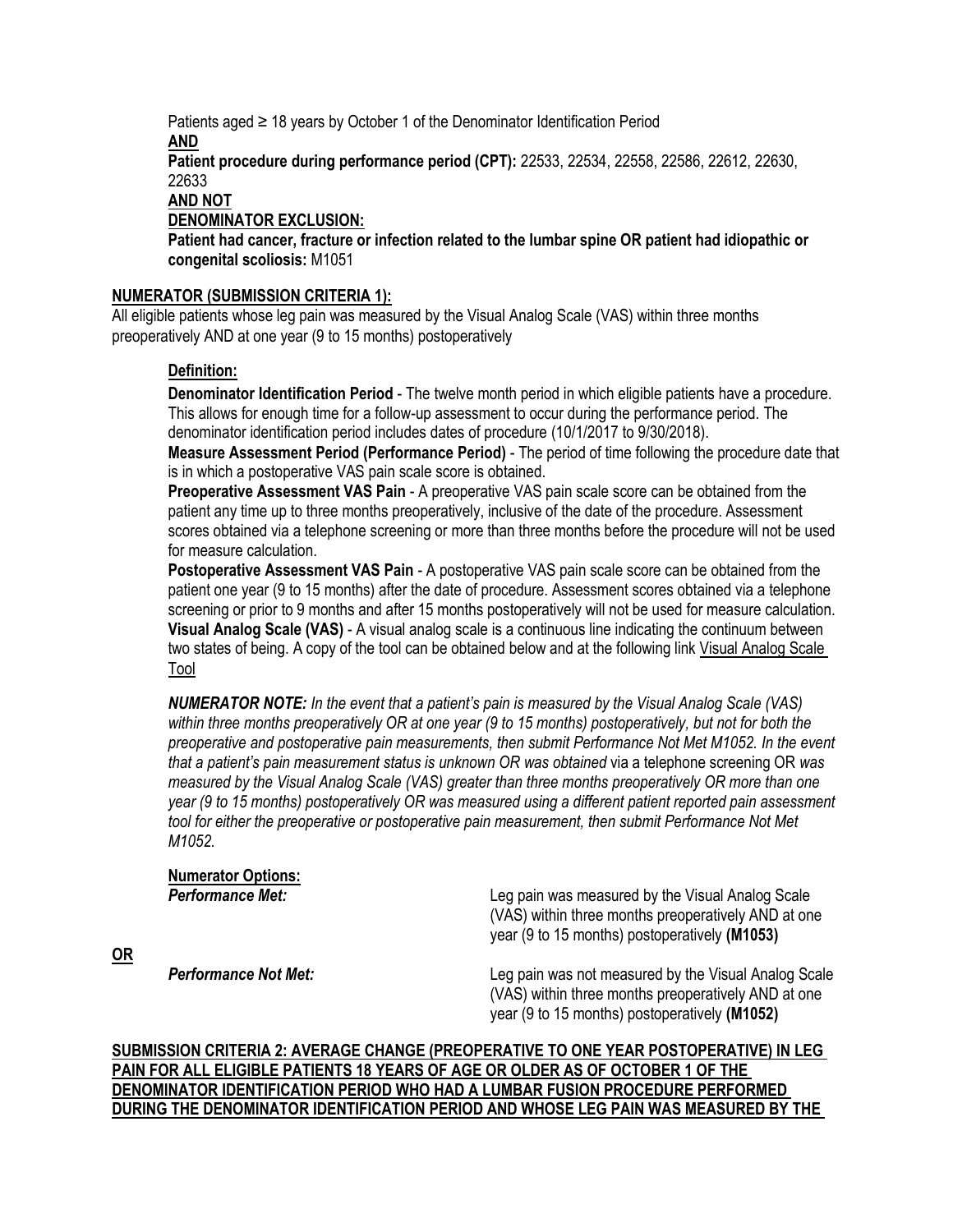Patients aged ≥ 18 years by October 1 of the Denominator Identification Period **AND Patient procedure during performance period (CPT):** 22533, 22534, 22558, 22586, 22612, 22630, 22633 **AND NOT**

## **DENOMINATOR EXCLUSION:**

**Patient had cancer, fracture or infection related to the lumbar spine OR patient had idiopathic or congenital scoliosis:** M1051

#### **NUMERATOR (SUBMISSION CRITERIA 1):**

All eligible patients whose leg pain was measured by the Visual Analog Scale (VAS) within three months preoperatively AND at one year (9 to 15 months) postoperatively

#### **Definition:**

**OR**

**Denominator Identification Period** - The twelve month period in which eligible patients have a procedure. This allows for enough time for a follow-up assessment to occur during the performance period. The denominator identification period includes dates of procedure (10/1/2017 to 9/30/2018).

**Measure Assessment Period (Performance Period)** - The period of time following the procedure date that is in which a postoperative VAS pain scale score is obtained.

**Preoperative Assessment VAS Pain** - A preoperative VAS pain scale score can be obtained from the patient any time up to three months preoperatively, inclusive of the date of the procedure. Assessment scores obtained via a telephone screening or more than three months before the procedure will not be used for measure calculation.

**Postoperative Assessment VAS Pain** - A postoperative VAS pain scale score can be obtained from the patient one year (9 to 15 months) after the date of procedure. Assessment scores obtained via a telephone screening or prior to 9 months and after 15 months postoperatively will not be used for measure calculation. **Visual Analog Scale (VAS)** - A visual analog scale is a continuous line indicating the continuum between two states of being. A copy of the tool can be obtained below and at the following lin[k Visual Analog Scale](http://mncm.org/submitting-data/training-and-guidance/cycle-b-dds-guides/)  [Tool](http://mncm.org/submitting-data/training-and-guidance/cycle-b-dds-guides/)

*NUMERATOR NOTE: In the event that a patient's pain is measured by the Visual Analog Scale (VAS) within three months preoperatively OR at one year (9 to 15 months) postoperatively, but not for both the preoperative and postoperative pain measurements, then submit Performance Not Met M1052. In the event that a patient's pain measurement status is unknown OR was obtained* via a telephone screening OR *was measured by the Visual Analog Scale (VAS) greater than three months preoperatively OR more than one year (9 to 15 months) postoperatively OR was measured using a different patient reported pain assessment tool for either the preoperative or postoperative pain measurement, then submit Performance Not Met M1052.*

# **Numerator Options: Performance Met: Leg pain was measured by the Visual Analog Scale** (VAS) within three months preoperatively AND at one year (9 to 15 months) postoperatively **(M1053) Performance Not Met:** Network Channel Leg pain was not measured by the Visual Analog Scale (VAS) within three months preoperatively AND at one year (9 to 15 months) postoperatively **(M1052)**

**SUBMISSION CRITERIA 2: AVERAGE CHANGE (PREOPERATIVE TO ONE YEAR POSTOPERATIVE) IN LEG PAIN FOR ALL ELIGIBLE PATIENTS 18 YEARS OF AGE OR OLDER AS OF OCTOBER 1 OF THE DENOMINATOR IDENTIFICATION PERIOD WHO HAD A LUMBAR FUSION PROCEDURE PERFORMED DURING THE DENOMINATOR IDENTIFICATION PERIOD AND WHOSE LEG PAIN WAS MEASURED BY THE**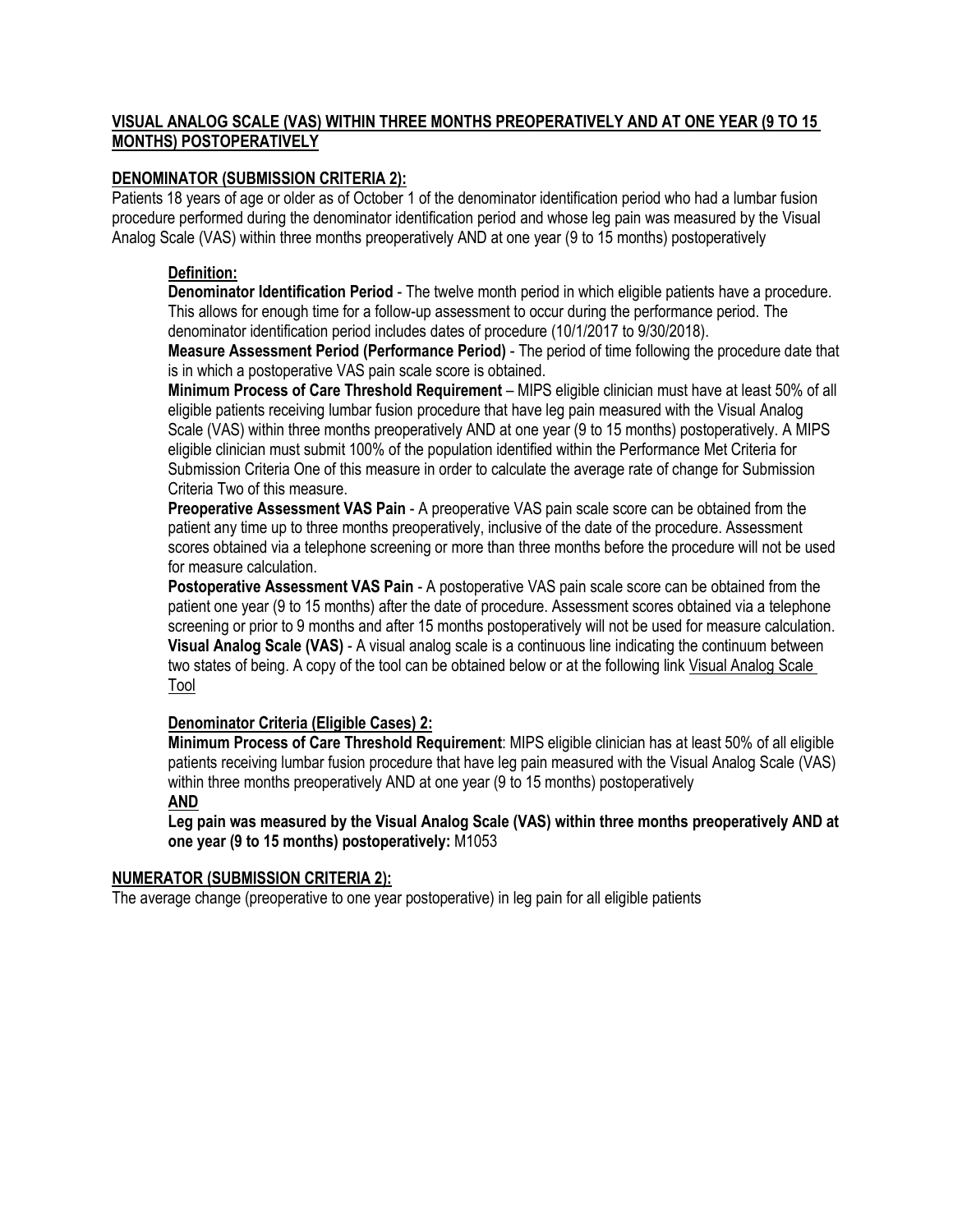# **VISUAL ANALOG SCALE (VAS) WITHIN THREE MONTHS PREOPERATIVELY AND AT ONE YEAR (9 TO 15 MONTHS) POSTOPERATIVELY**

# **DENOMINATOR (SUBMISSION CRITERIA 2):**

Patients 18 years of age or older as of October 1 of the denominator identification period who had a lumbar fusion procedure performed during the denominator identification period and whose leg pain was measured by the Visual Analog Scale (VAS) within three months preoperatively AND at one year (9 to 15 months) postoperatively

# **Definition:**

**Denominator Identification Period** - The twelve month period in which eligible patients have a procedure. This allows for enough time for a follow-up assessment to occur during the performance period. The denominator identification period includes dates of procedure (10/1/2017 to 9/30/2018).

**Measure Assessment Period (Performance Period)** - The period of time following the procedure date that is in which a postoperative VAS pain scale score is obtained.

**Minimum Process of Care Threshold Requirement** – MIPS eligible clinician must have at least 50% of all eligible patients receiving lumbar fusion procedure that have leg pain measured with the Visual Analog Scale (VAS) within three months preoperatively AND at one year (9 to 15 months) postoperatively. A MIPS eligible clinician must submit 100% of the population identified within the Performance Met Criteria for Submission Criteria One of this measure in order to calculate the average rate of change for Submission Criteria Two of this measure.

**Preoperative Assessment VAS Pain** - A preoperative VAS pain scale score can be obtained from the patient any time up to three months preoperatively, inclusive of the date of the procedure. Assessment scores obtained via a telephone screening or more than three months before the procedure will not be used for measure calculation.

**Postoperative Assessment VAS Pain** - A postoperative VAS pain scale score can be obtained from the patient one year (9 to 15 months) after the date of procedure. Assessment scores obtained via a telephone screening or prior to 9 months and after 15 months postoperatively will not be used for measure calculation. **Visual Analog Scale (VAS)** - A visual analog scale is a continuous line indicating the continuum between two states of being. A copy of the tool can be obtained below or at the following link [Visual Analog Scale](http://mncm.org/submitting-data/training-and-guidance/cycle-b-dds-guides/)  [Tool](http://mncm.org/submitting-data/training-and-guidance/cycle-b-dds-guides/)

## **Denominator Criteria (Eligible Cases) 2:**

**Minimum Process of Care Threshold Requirement**: MIPS eligible clinician has at least 50% of all eligible patients receiving lumbar fusion procedure that have leg pain measured with the Visual Analog Scale (VAS) within three months preoperatively AND at one year (9 to 15 months) postoperatively **AND**

**Leg pain was measured by the Visual Analog Scale (VAS) within three months preoperatively AND at one year (9 to 15 months) postoperatively:** M1053

# **NUMERATOR (SUBMISSION CRITERIA 2):**

The average change (preoperative to one year postoperative) in leg pain for all eligible patients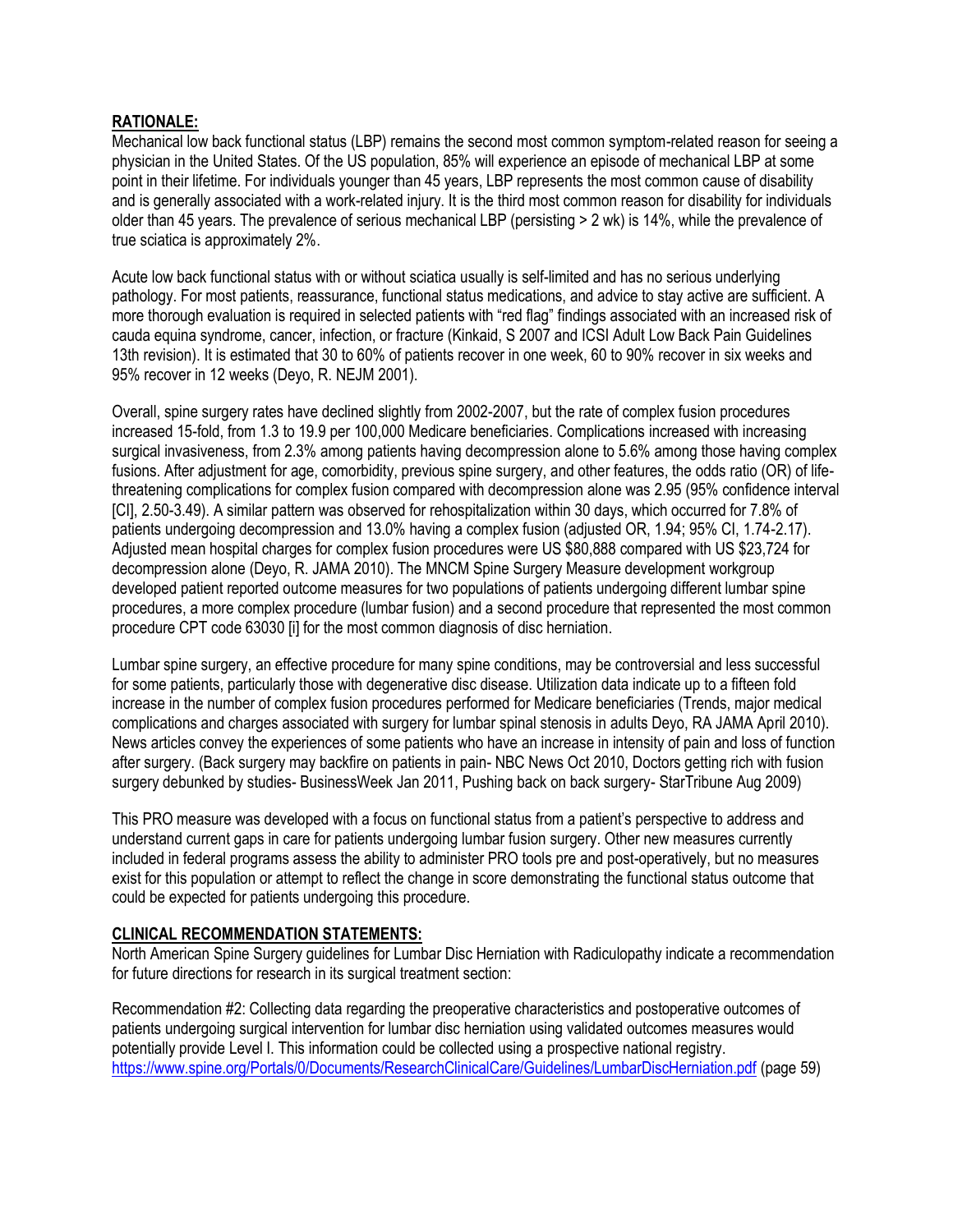# **RATIONALE:**

Mechanical low back functional status (LBP) remains the second most common symptom-related reason for seeing a physician in the United States. Of the US population, 85% will experience an episode of mechanical LBP at some point in their lifetime. For individuals younger than 45 years, LBP represents the most common cause of disability and is generally associated with a work-related injury. It is the third most common reason for disability for individuals older than 45 years. The prevalence of serious mechanical LBP (persisting > 2 wk) is 14%, while the prevalence of true sciatica is approximately 2%.

Acute low back functional status with or without sciatica usually is self-limited and has no serious underlying pathology. For most patients, reassurance, functional status medications, and advice to stay active are sufficient. A more thorough evaluation is required in selected patients with "red flag" findings associated with an increased risk of cauda equina syndrome, cancer, infection, or fracture (Kinkaid, S 2007 and ICSI Adult Low Back Pain Guidelines 13th revision). It is estimated that 30 to 60% of patients recover in one week, 60 to 90% recover in six weeks and 95% recover in 12 weeks (Deyo, R. NEJM 2001).

Overall, spine surgery rates have declined slightly from 2002-2007, but the rate of complex fusion procedures increased 15-fold, from 1.3 to 19.9 per 100,000 Medicare beneficiaries. Complications increased with increasing surgical invasiveness, from 2.3% among patients having decompression alone to 5.6% among those having complex fusions. After adjustment for age, comorbidity, previous spine surgery, and other features, the odds ratio (OR) of lifethreatening complications for complex fusion compared with decompression alone was 2.95 (95% confidence interval [CI], 2.50-3.49). A similar pattern was observed for rehospitalization within 30 days, which occurred for 7.8% of patients undergoing decompression and 13.0% having a complex fusion (adjusted OR, 1.94; 95% CI, 1.74-2.17). Adjusted mean hospital charges for complex fusion procedures were US \$80,888 compared with US \$23,724 for decompression alone (Deyo, R. JAMA 2010). The MNCM Spine Surgery Measure development workgroup developed patient reported outcome measures for two populations of patients undergoing different lumbar spine procedures, a more complex procedure (lumbar fusion) and a second procedure that represented the most common procedure CPT code 63030 [i] for the most common diagnosis of disc herniation.

Lumbar spine surgery, an effective procedure for many spine conditions, may be controversial and less successful for some patients, particularly those with degenerative disc disease. Utilization data indicate up to a fifteen fold increase in the number of complex fusion procedures performed for Medicare beneficiaries (Trends, major medical complications and charges associated with surgery for lumbar spinal stenosis in adults Deyo, RA JAMA April 2010). News articles convey the experiences of some patients who have an increase in intensity of pain and loss of function after surgery. (Back surgery may backfire on patients in pain- NBC News Oct 2010, Doctors getting rich with fusion surgery debunked by studies- BusinessWeek Jan 2011, Pushing back on back surgery- StarTribune Aug 2009)

This PRO measure was developed with a focus on functional status from a patient's perspective to address and understand current gaps in care for patients undergoing lumbar fusion surgery. Other new measures currently included in federal programs assess the ability to administer PRO tools pre and post-operatively, but no measures exist for this population or attempt to reflect the change in score demonstrating the functional status outcome that could be expected for patients undergoing this procedure.

## **CLINICAL RECOMMENDATION STATEMENTS:**

North American Spine Surgery guidelines for Lumbar Disc Herniation with Radiculopathy indicate a recommendation for future directions for research in its surgical treatment section:

Recommendation #2: Collecting data regarding the preoperative characteristics and postoperative outcomes of patients undergoing surgical intervention for lumbar disc herniation using validated outcomes measures would potentially provide Level I. This information could be collected using a prospective national registry. <https://www.spine.org/Portals/0/Documents/ResearchClinicalCare/Guidelines/LumbarDiscHerniation.pdf> (page 59)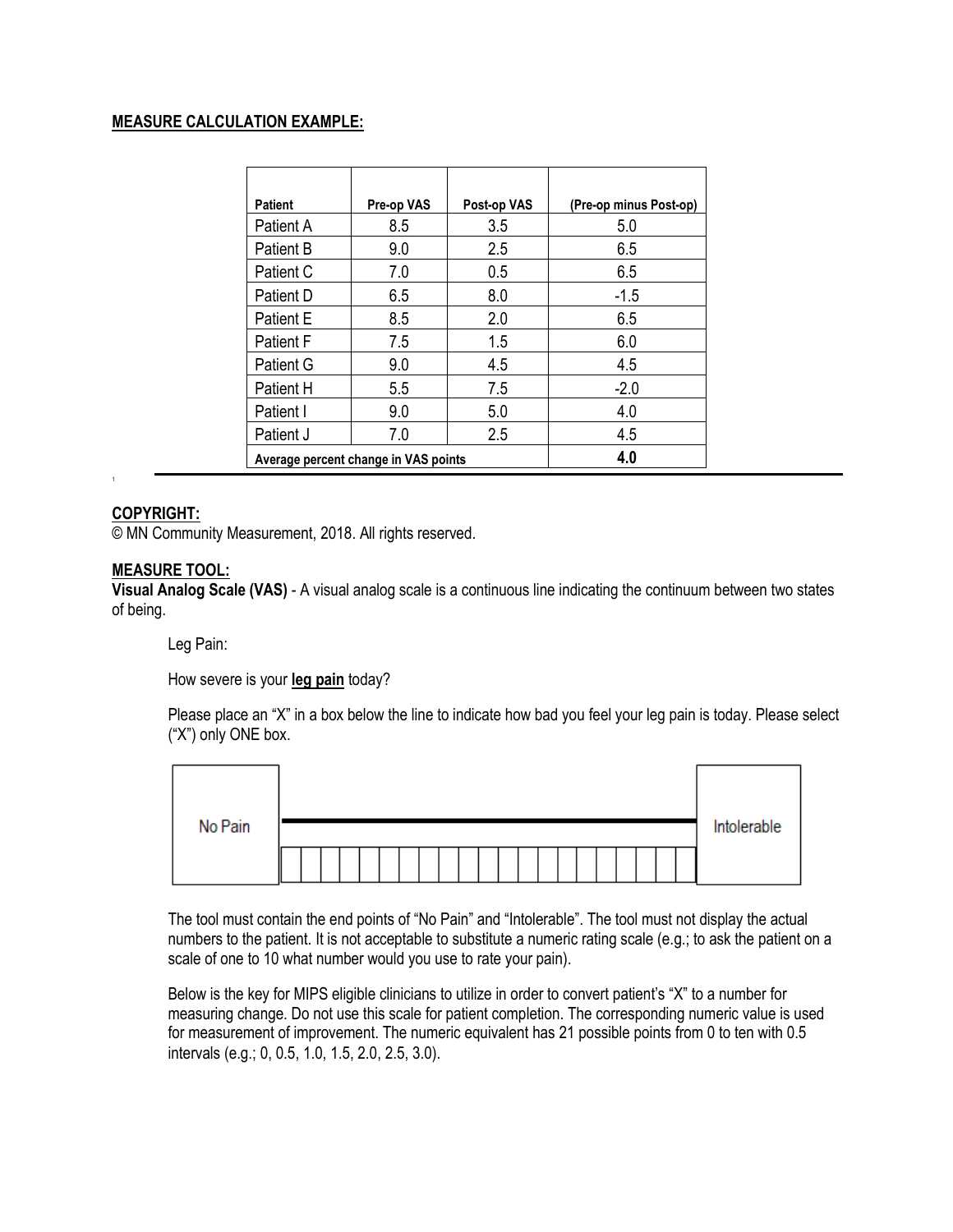# **MEASURE CALCULATION EXAMPLE:**

| <b>Patient</b>   | Pre-op VAS                           | Post-op VAS | (Pre-op minus Post-op) |
|------------------|--------------------------------------|-------------|------------------------|
| Patient A        | 8.5                                  | 3.5         | 5.0                    |
| <b>Patient B</b> | 9.0                                  | 2.5         | 6.5                    |
| Patient C        | 7.0                                  | 0.5         | 6.5                    |
| Patient D        | 6.5                                  | 8.0         | $-1.5$                 |
| <b>Patient E</b> | 8.5                                  | 2.0         | 6.5                    |
| <b>Patient F</b> | 7.5                                  | 1.5         | 6.0                    |
| Patient G        | 9.0                                  | 4.5         | 4.5                    |
| Patient H        | 5.5                                  | 7.5         | $-2.0$                 |
| Patient I        | 9.0                                  | 5.0         | 4.0                    |
| Patient J        | 7.0                                  | 2.5         | 4.5                    |
|                  | Average percent change in VAS points |             | 4.0                    |

# **COPYRIGHT:**

1

© MN Community Measurement, 2018. All rights reserved.

## **MEASURE TOOL:**

**Visual Analog Scale (VAS)** - A visual analog scale is a continuous line indicating the continuum between two states of being.

Leg Pain:

How severe is your **leg pain** today?

Please place an "X" in a box below the line to indicate how bad you feel your leg pain is today. Please select ("X") only ONE box.

| No Pain | Intolerable |
|---------|-------------|
|         |             |

The tool must contain the end points of "No Pain" and "Intolerable". The tool must not display the actual numbers to the patient. It is not acceptable to substitute a numeric rating scale (e.g.; to ask the patient on a scale of one to 10 what number would you use to rate your pain).

Below is the key for MIPS eligible clinicians to utilize in order to convert patient's "X" to a number for measuring change. Do not use this scale for patient completion. The corresponding numeric value is used for measurement of improvement. The numeric equivalent has 21 possible points from 0 to ten with 0.5 intervals (e.g.; 0, 0.5, 1.0, 1.5, 2.0, 2.5, 3.0).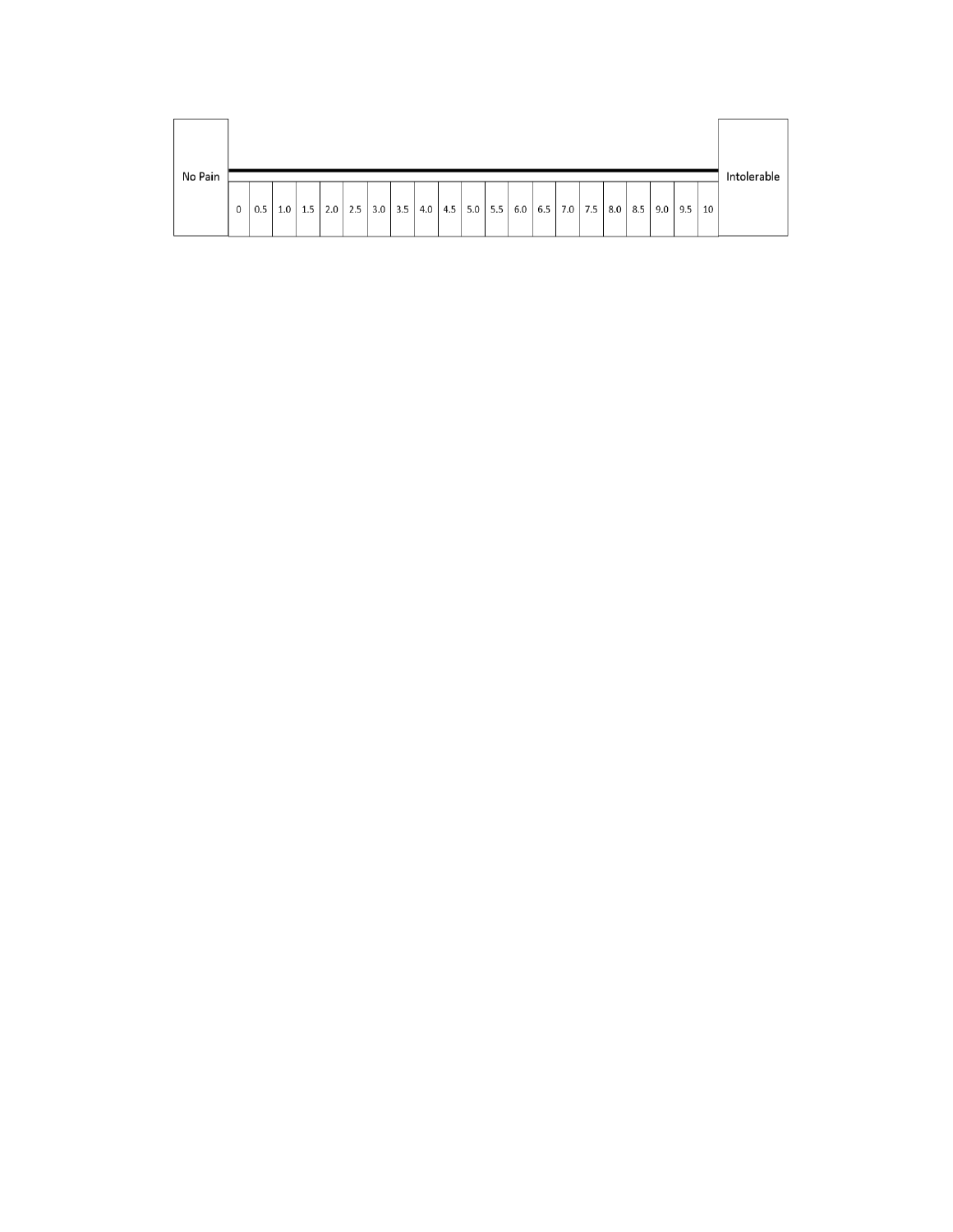| No Pain |             |     |     |     |     |     |     |     |     |  |               |             |     |     |     |     |           |    | Intolerable |
|---------|-------------|-----|-----|-----|-----|-----|-----|-----|-----|--|---------------|-------------|-----|-----|-----|-----|-----------|----|-------------|
|         | $\mathbf 0$ | 0.5 | 1.0 | 1.5 | 2.0 | 2.5 | 3.0 | 3.5 | 4.0 |  | $4.5$ 5.0 5.5 | $6.0$   6.5 | 7.0 | 7.5 | 8.0 | 8.5 | $9.0$ 9.5 | 10 |             |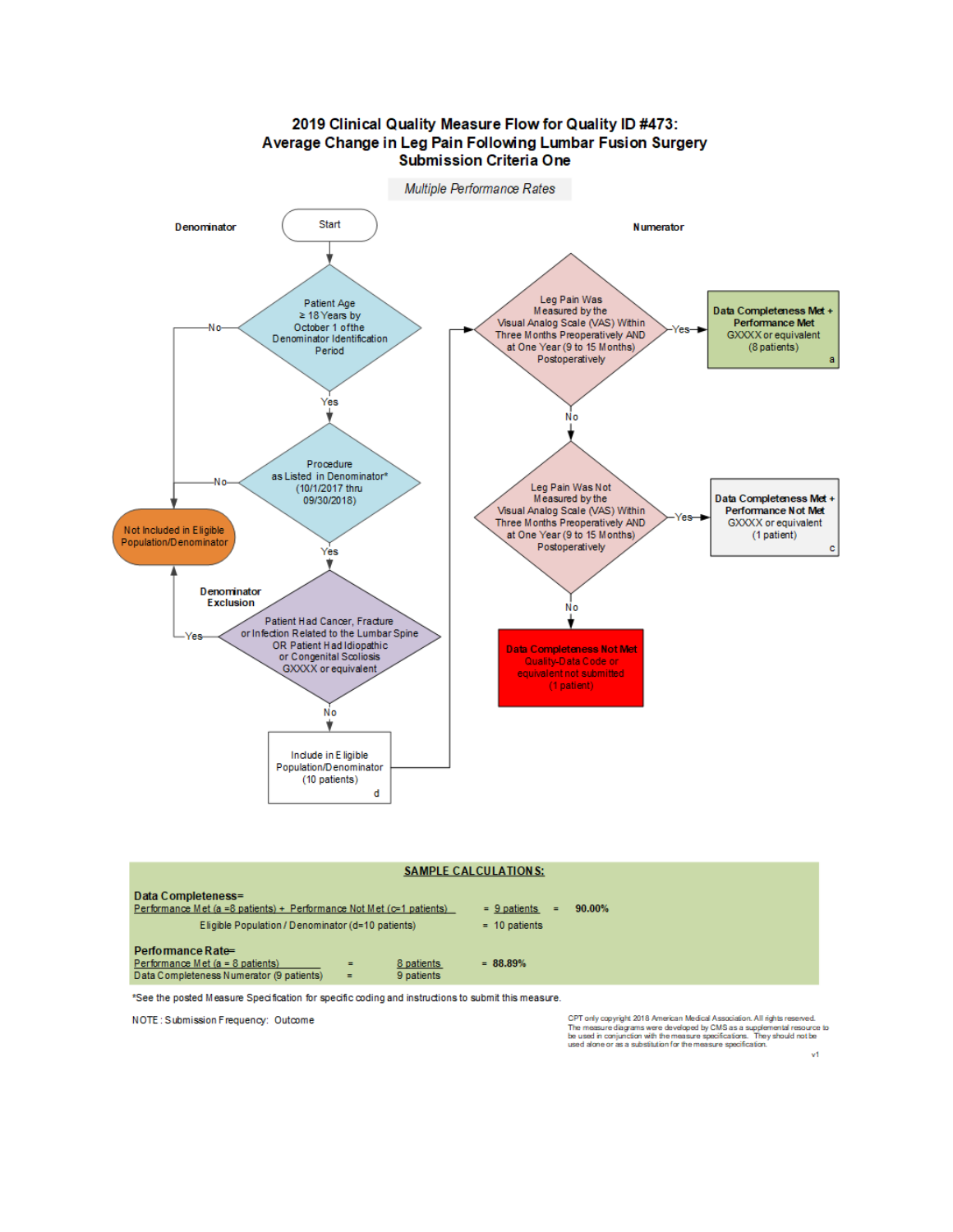

|                                                                                                                                                    | <b>SAMPLE CALCULATIONS:</b>            |                                          |           |
|----------------------------------------------------------------------------------------------------------------------------------------------------|----------------------------------------|------------------------------------------|-----------|
| Data Completeness=<br>Performance Met (a =8 patients) + Performance Not Met ( $c=1$ patients)<br>Eligible Population / Denominator (d=10 patients) |                                        | $= 9$ patients<br>$=$<br>$= 10$ patients | $90.00\%$ |
| Performance Rate=<br>Performance Met (a = 8 patients)<br>Data Completeness Numerator (9 patients)                                                  | 8 patients<br>$=$<br>9 patients<br>$=$ | $= 88.89%$                               |           |

\*See the posted Measure Specification for specific coding and instructions to submit this measure.

NOTE: Submission Frequency: Outcome

CPT only copyright 2018 American Medical Association. All rights reserved.<br>The measure diagrams were developed by CMS as a supplemental resource to<br>be used in conjunction with the measure specifications. They should not be

 $\vee$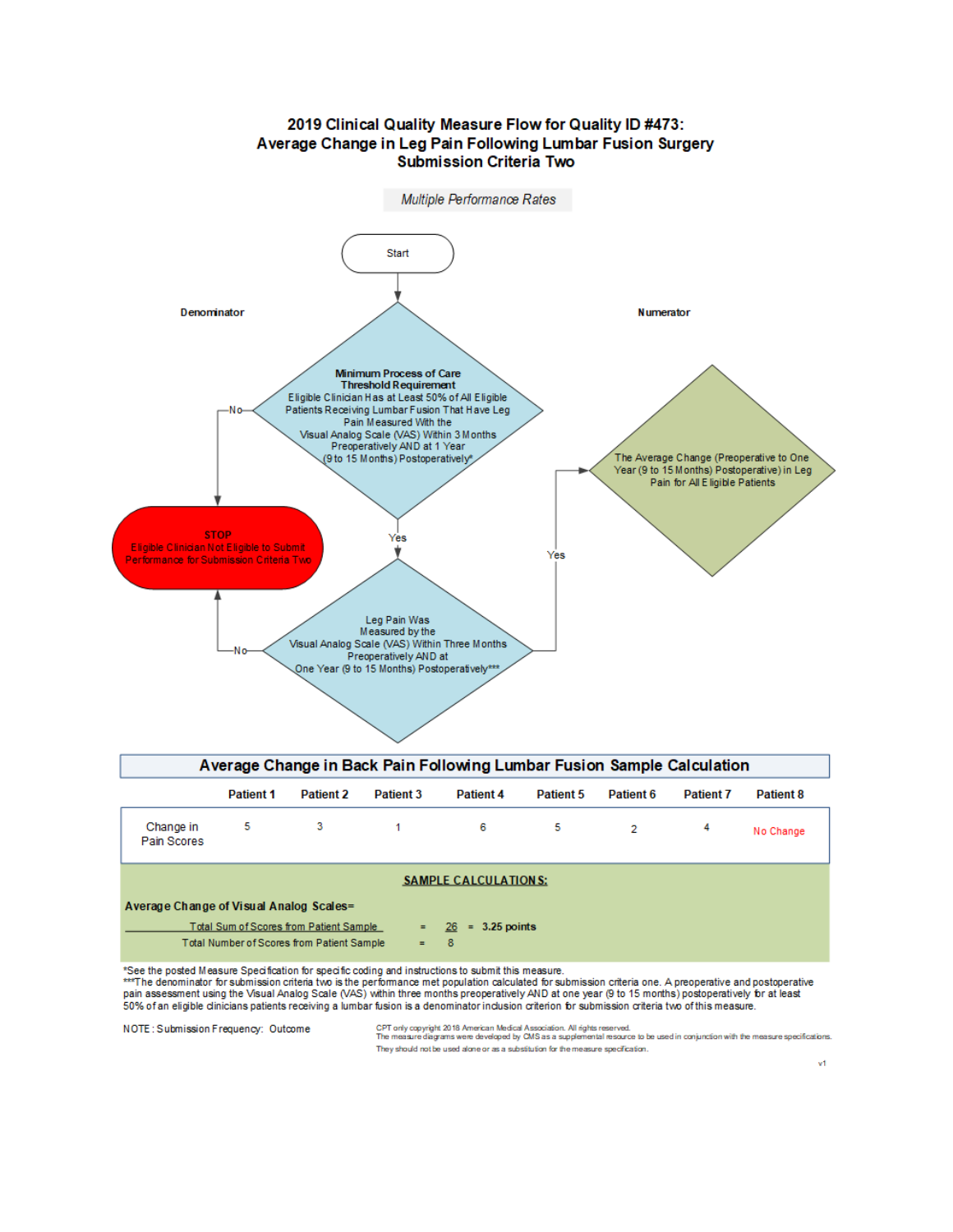

# 2019 Clinical Quality Measure Flow for Quality ID #473: Average Change in Leg Pain Following Lumbar Fusion Surgery

| Average Change of Visual Analog Scales= |  |  |  |
|-----------------------------------------|--|--|--|
|                                         |  |  |  |

Total Sum of Scores from Patient Sample  $26 = 3.25$  points Total Number of Scores from Patient Sample 8  $\equiv$ 

\*See the posted Measure Specification for specific coding and instructions to submit this measure.

\*\*\*The denominator for submission criteria two is the performance met population calculated for submission criteria one. A preoperative and postoperative pain assessment using the Visual Analog Scale (VAS) within three months preoperatively AND at one year (9 to 15 months) postoperatively for at least 50% of an eligible clinicians patients receiving a lumbar fusion is a denominator inclusion criterion for submission criteria two of this measure.

**SAMPLE CALCULATIONS:** 

NOTE: Submission Frequency: Outcome

CPT only copyright 2018 American Medical Association. All rights reserved.<br>The measure diagrams were developed by CMS as a supplemental resource to be used in conjunction with the measure specifications.

They should not be used alone or as a substitution for the measure specification.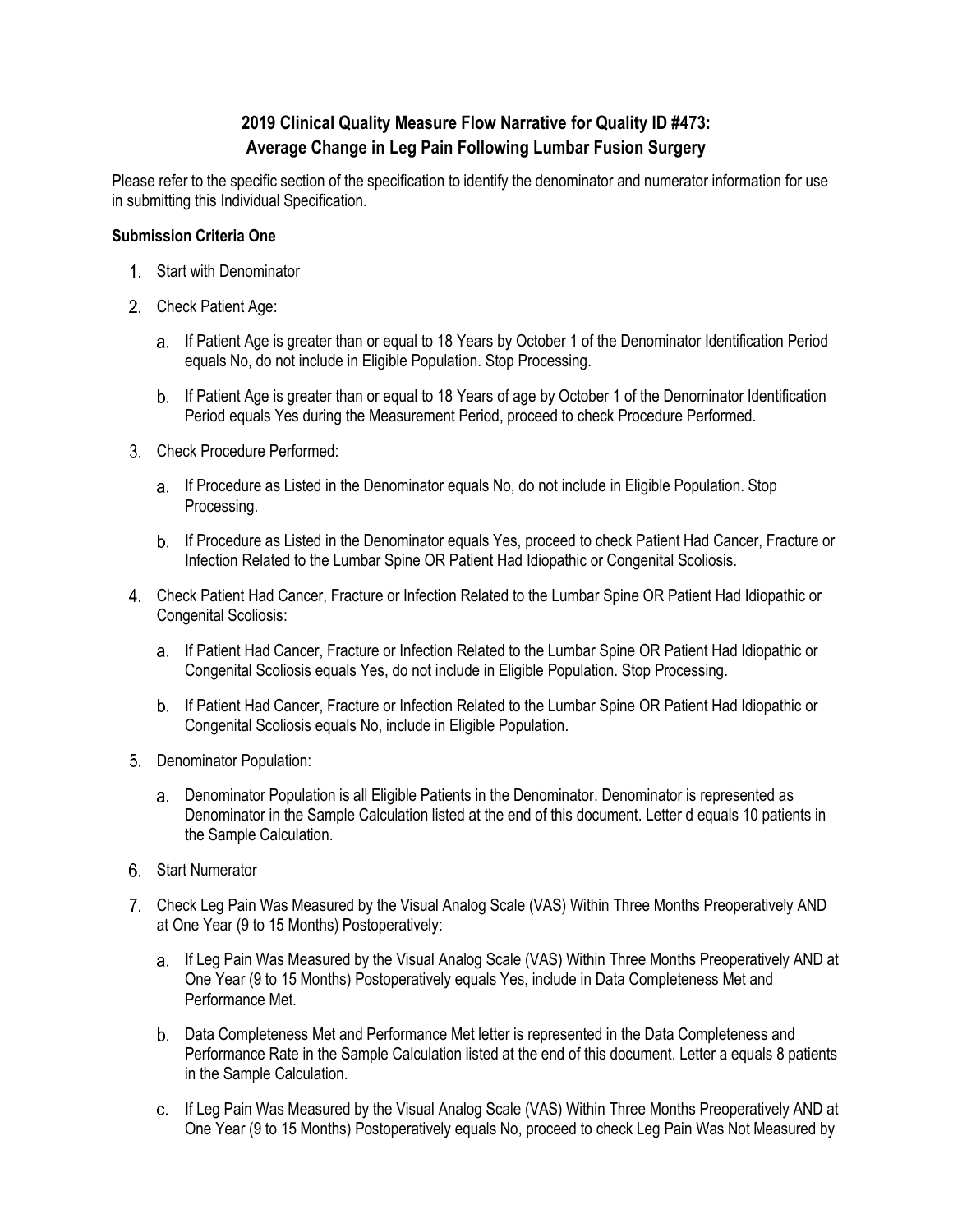# **2019 Clinical Quality Measure Flow Narrative for Quality ID #473: Average Change in Leg Pain Following Lumbar Fusion Surgery**

Please refer to the specific section of the specification to identify the denominator and numerator information for use in submitting this Individual Specification.

# **Submission Criteria One**

- 1. Start with Denominator
- 2. Check Patient Age:
	- If Patient Age is greater than or equal to 18 Years by October 1 of the Denominator Identification Period equals No, do not include in Eligible Population. Stop Processing.
	- b. If Patient Age is greater than or equal to 18 Years of age by October 1 of the Denominator Identification Period equals Yes during the Measurement Period, proceed to check Procedure Performed.
- Check Procedure Performed:
	- a. If Procedure as Listed in the Denominator equals No, do not include in Eligible Population. Stop Processing.
	- If Procedure as Listed in the Denominator equals Yes, proceed to check Patient Had Cancer, Fracture or Infection Related to the Lumbar Spine OR Patient Had Idiopathic or Congenital Scoliosis.
- Check Patient Had Cancer, Fracture or Infection Related to the Lumbar Spine OR Patient Had Idiopathic or Congenital Scoliosis:
	- a. If Patient Had Cancer, Fracture or Infection Related to the Lumbar Spine OR Patient Had Idiopathic or Congenital Scoliosis equals Yes, do not include in Eligible Population. Stop Processing.
	- If Patient Had Cancer, Fracture or Infection Related to the Lumbar Spine OR Patient Had Idiopathic or Congenital Scoliosis equals No, include in Eligible Population.
- 5. Denominator Population:
	- Denominator Population is all Eligible Patients in the Denominator. Denominator is represented as Denominator in the Sample Calculation listed at the end of this document. Letter d equals 10 patients in the Sample Calculation.
- 6. Start Numerator
- Check Leg Pain Was Measured by the Visual Analog Scale (VAS) Within Three Months Preoperatively AND at One Year (9 to 15 Months) Postoperatively:
	- a. If Leg Pain Was Measured by the Visual Analog Scale (VAS) Within Three Months Preoperatively AND at One Year (9 to 15 Months) Postoperatively equals Yes, include in Data Completeness Met and Performance Met.
	- Data Completeness Met and Performance Met letter is represented in the Data Completeness and Performance Rate in the Sample Calculation listed at the end of this document. Letter a equals 8 patients in the Sample Calculation.
	- If Leg Pain Was Measured by the Visual Analog Scale (VAS) Within Three Months Preoperatively AND at One Year (9 to 15 Months) Postoperatively equals No, proceed to check Leg Pain Was Not Measured by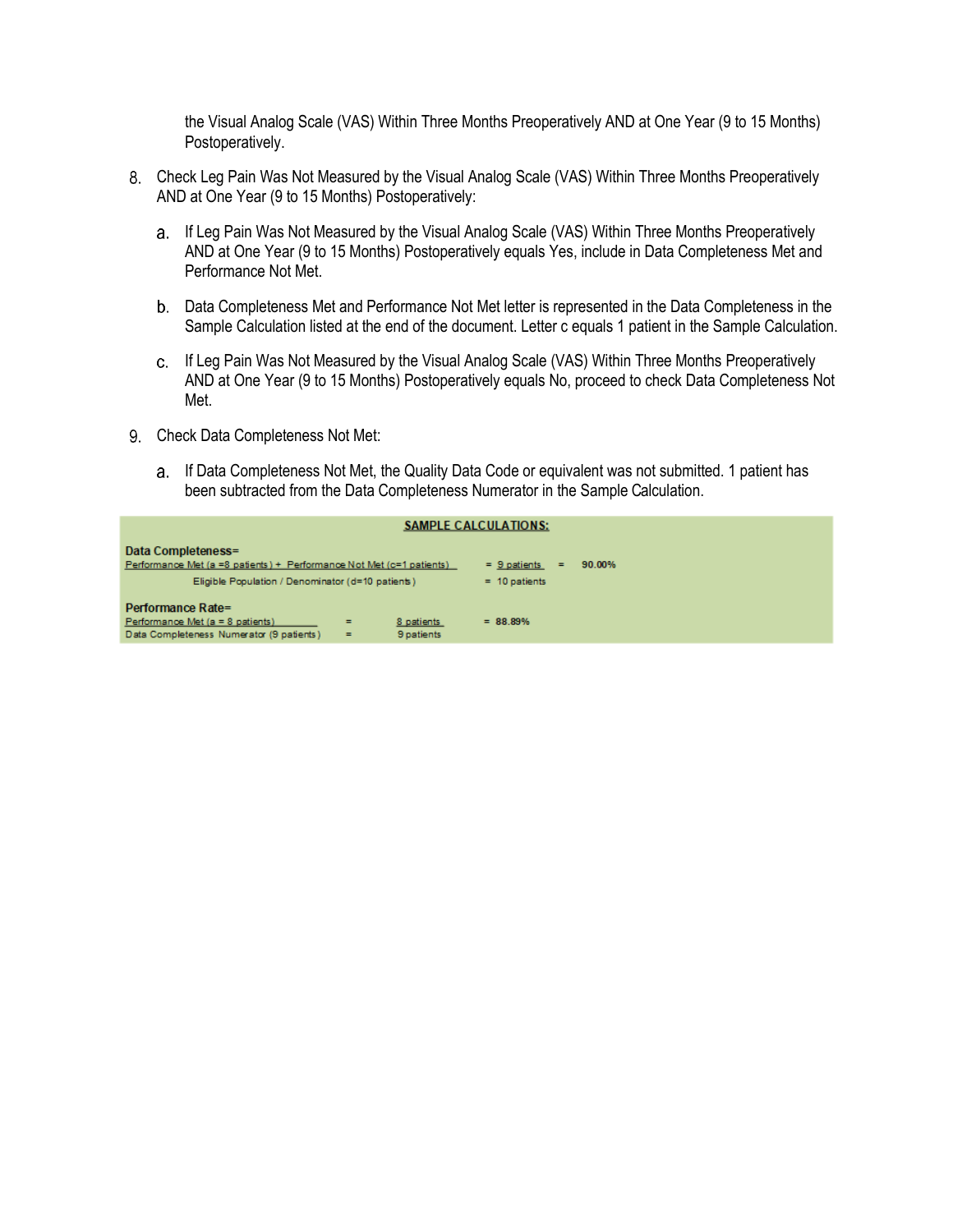the Visual Analog Scale (VAS) Within Three Months Preoperatively AND at One Year (9 to 15 Months) Postoperatively.

- Check Leg Pain Was Not Measured by the Visual Analog Scale (VAS) Within Three Months Preoperatively AND at One Year (9 to 15 Months) Postoperatively:
	- a. If Leg Pain Was Not Measured by the Visual Analog Scale (VAS) Within Three Months Preoperatively AND at One Year (9 to 15 Months) Postoperatively equals Yes, include in Data Completeness Met and Performance Not Met.
	- Data Completeness Met and Performance Not Met letter is represented in the Data Completeness in the Sample Calculation listed at the end of the document. Letter c equals 1 patient in the Sample Calculation.
	- If Leg Pain Was Not Measured by the Visual Analog Scale (VAS) Within Three Months Preoperatively AND at One Year (9 to 15 Months) Postoperatively equals No, proceed to check Data Completeness Not Met.
- 9. Check Data Completeness Not Met:
	- If Data Completeness Not Met, the Quality Data Code or equivalent was not submitted. 1 patient has been subtracted from the Data Completeness Numerator in the Sample Calculation.

|                                                                                                                                                 |                          | <b>SAMPLE CALCULATIONS:</b>              |        |
|-------------------------------------------------------------------------------------------------------------------------------------------------|--------------------------|------------------------------------------|--------|
| Data Completeness=<br>Performance Met (a =8 patients) + Performance Not Met (c=1 patients)<br>Eligible Population / Denominator (d=10 patients) |                          | $= 9$ patients<br>$=$<br>$= 10$ patients | 90.00% |
| Performance Rate=<br>Performance Met $(a = 8$ patients)<br>$=$<br>Data Completeness Numerator (9 patients)<br>$=$                               | 8 patients<br>9 patients | $= 88.89%$                               |        |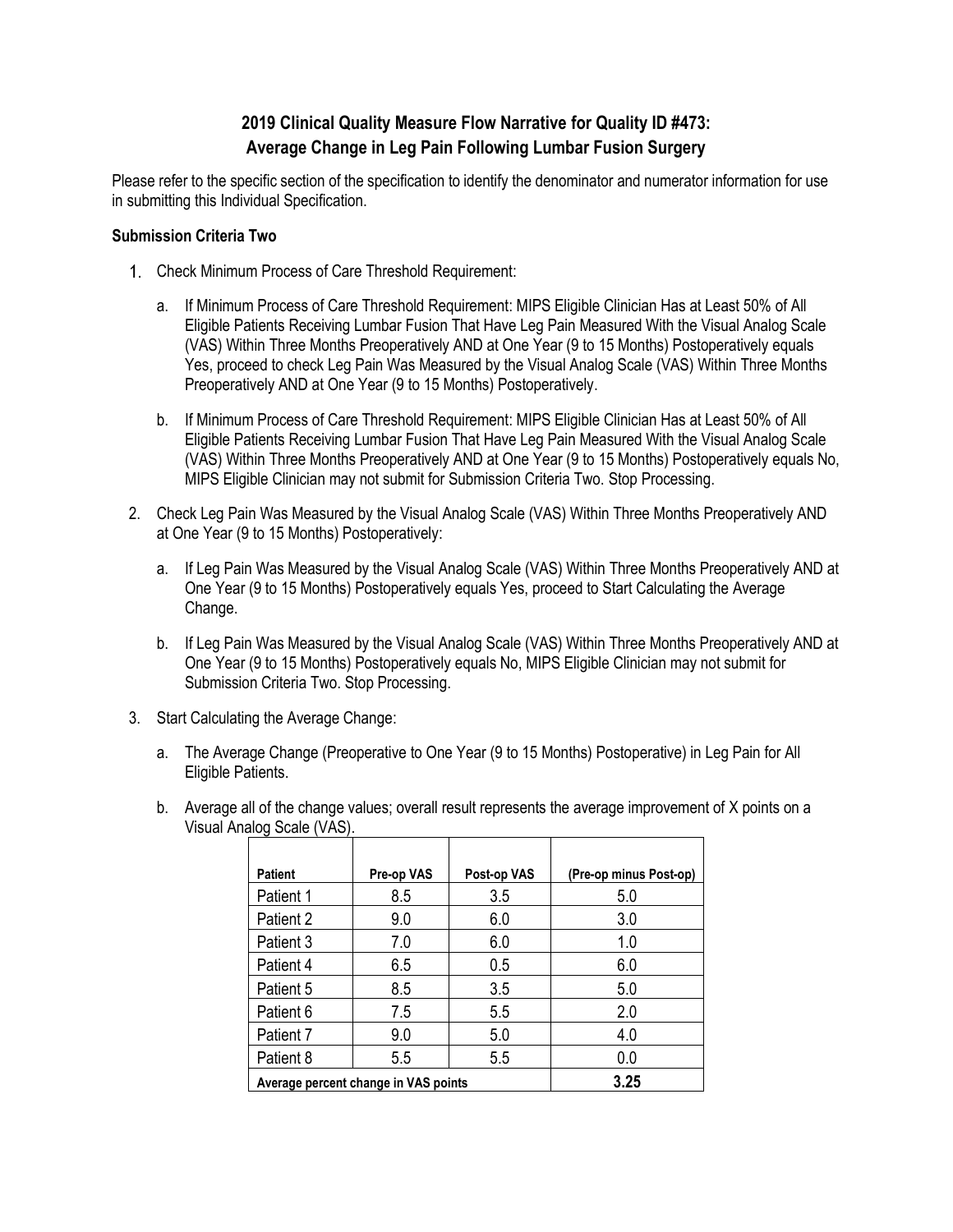# **2019 Clinical Quality Measure Flow Narrative for Quality ID #473: Average Change in Leg Pain Following Lumbar Fusion Surgery**

Please refer to the specific section of the specification to identify the denominator and numerator information for use in submitting this Individual Specification.

# **Submission Criteria Two**

- Check Minimum Process of Care Threshold Requirement:
	- a. If Minimum Process of Care Threshold Requirement: MIPS Eligible Clinician Has at Least 50% of All Eligible Patients Receiving Lumbar Fusion That Have Leg Pain Measured With the Visual Analog Scale (VAS) Within Three Months Preoperatively AND at One Year (9 to 15 Months) Postoperatively equals Yes, proceed to check Leg Pain Was Measured by the Visual Analog Scale (VAS) Within Three Months Preoperatively AND at One Year (9 to 15 Months) Postoperatively.
	- b. If Minimum Process of Care Threshold Requirement: MIPS Eligible Clinician Has at Least 50% of All Eligible Patients Receiving Lumbar Fusion That Have Leg Pain Measured With the Visual Analog Scale (VAS) Within Three Months Preoperatively AND at One Year (9 to 15 Months) Postoperatively equals No, MIPS Eligible Clinician may not submit for Submission Criteria Two. Stop Processing.
- 2. Check Leg Pain Was Measured by the Visual Analog Scale (VAS) Within Three Months Preoperatively AND at One Year (9 to 15 Months) Postoperatively:
	- a. If Leg Pain Was Measured by the Visual Analog Scale (VAS) Within Three Months Preoperatively AND at One Year (9 to 15 Months) Postoperatively equals Yes, proceed to Start Calculating the Average Change.
	- b. If Leg Pain Was Measured by the Visual Analog Scale (VAS) Within Three Months Preoperatively AND at One Year (9 to 15 Months) Postoperatively equals No, MIPS Eligible Clinician may not submit for Submission Criteria Two. Stop Processing.
- 3. Start Calculating the Average Change:
	- a. The Average Change (Preoperative to One Year (9 to 15 Months) Postoperative) in Leg Pain for All Eligible Patients.
	- b. Average all of the change values; overall result represents the average improvement of X points on a Visual Analog Scale (VAS).

| <b>Patient</b>                       | Pre-op VAS | Post-op VAS | (Pre-op minus Post-op) |
|--------------------------------------|------------|-------------|------------------------|
| Patient 1                            | 8.5        | 3.5         | 5.0                    |
| Patient 2                            | 9.0        | 6.0         | 3.0                    |
| Patient 3                            | 7.0        | 6.0         | 1.0                    |
| Patient 4                            | 6.5        | 0.5         | 6.0                    |
| Patient 5                            | 8.5        | 3.5         | 5.0                    |
| Patient 6                            | 7.5        | 5.5         | 2.0                    |
| Patient 7                            | 9.0        | 5.0         | 4.0                    |
| Patient 8                            | 5.5        | 5.5         | 0.0                    |
| Average percent change in VAS points |            |             | 3.25                   |